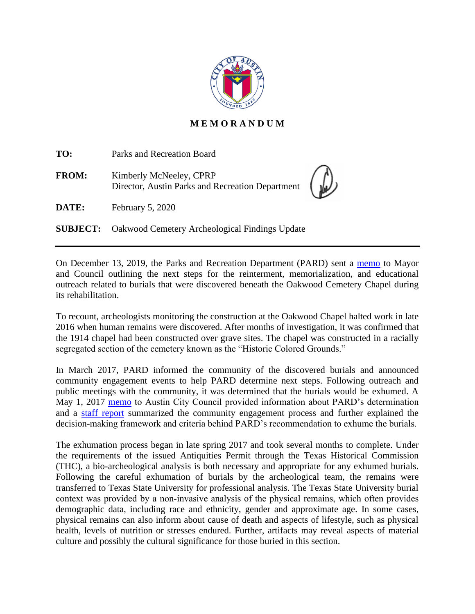

## **M E M O R A N D U M**

| TO:          | Parks and Recreation Board                                                  |  |
|--------------|-----------------------------------------------------------------------------|--|
| <b>FROM:</b> | Kimberly McNeeley, CPRP<br>Director, Austin Parks and Recreation Department |  |
| DATE:        | February 5, 2020                                                            |  |
|              | <b>SUBJECT:</b> Oakwood Cemetery Archeological Findings Update              |  |

On December 13, 2019, the Parks and Recreation Department (PARD) sent a [memo](http://www.austintexas.gov/edims/pio/document.cfm?id=332920) to Mayor and Council outlining the next steps for the reinterment, memorialization, and educational outreach related to burials that were discovered beneath the Oakwood Cemetery Chapel during its rehabilitation.

To recount, archeologists monitoring the construction at the Oakwood Chapel halted work in late 2016 when human remains were discovered. After months of investigation, it was confirmed that the 1914 chapel had been constructed over grave sites. The chapel was constructed in a racially segregated section of the cemetery known as the "Historic Colored Grounds."

In March 2017, PARD informed the community of the discovered burials and announced community engagement events to help PARD determine next steps. Following outreach and public meetings with the community, it was determined that the burials would be exhumed. A May 1, 2017 [memo](https://www.austintexas.gov/edims/pio/document.cfm?id=276185) to Austin City Council provided information about PARD's determination and a [staff report](https://www.austintexas.gov/sites/default/files/files/Parks/Planning_and_Development/172704_FINAL_BINDER_OakwoodStaffReport.pdf) summarized the community engagement process and further explained the decision-making framework and criteria behind PARD's recommendation to exhume the burials.

The exhumation process began in late spring 2017 and took several months to complete. Under the requirements of the issued Antiquities Permit through the Texas Historical Commission (THC), a bio-archeological analysis is both necessary and appropriate for any exhumed burials. Following the careful exhumation of burials by the archeological team, the remains were transferred to Texas State University for professional analysis. The Texas State University burial context was provided by a non‐invasive analysis of the physical remains, which often provides demographic data, including race and ethnicity, gender and approximate age. In some cases, physical remains can also inform about cause of death and aspects of lifestyle, such as physical health, levels of nutrition or stresses endured. Further, artifacts may reveal aspects of material culture and possibly the cultural significance for those buried in this section.